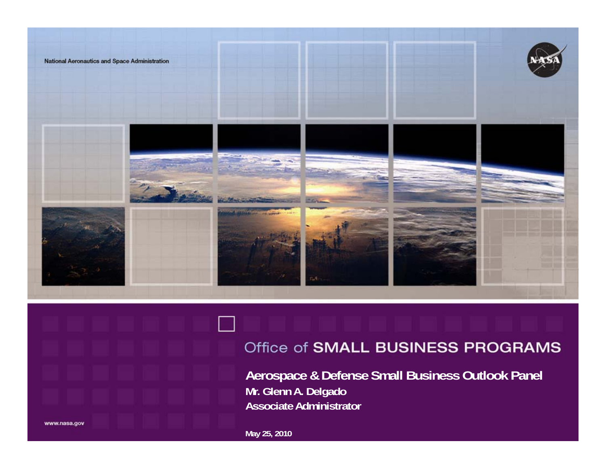

#### Office of SMALL BUSINESS PROGRAMS

**Aerospace & Defense Small Business Outlook Panel Mr. Glenn A. Delgado Associate Administrator**

www.nasa.gov

**May 25, 2010**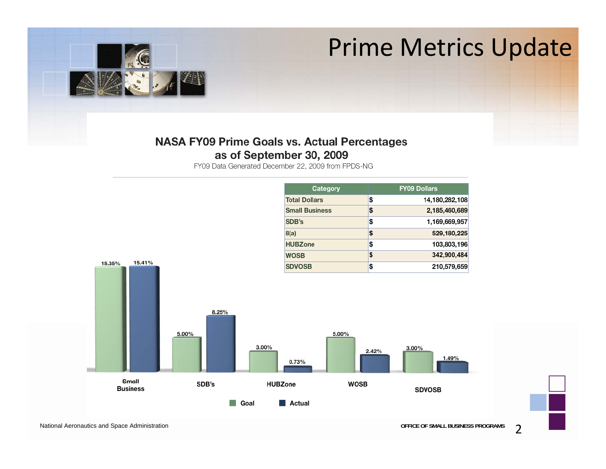## Prime Metrics Update



#### **NASA FY09 Prime Goals vs. Actual Percentages** as of September 30, 2009

FY09 Data Generated December 22, 2009 from FPDS-NG



National Aeronautics and Space Administration **Constrainers OFFICE OF SMALL BUSINESS PROGRAMS**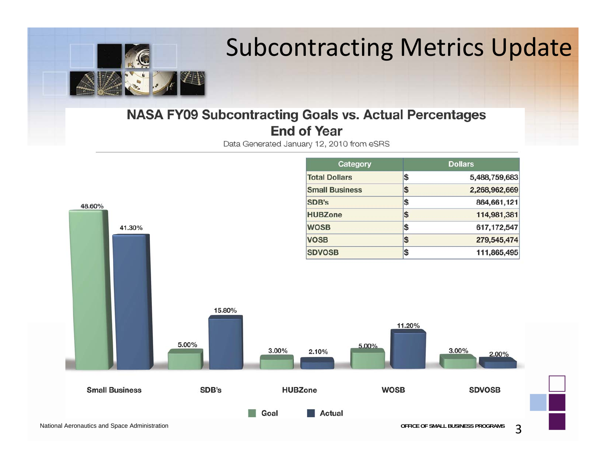

## Subcontracting Metrics Update

#### **NASA FY09 Subcontracting Goals vs. Actual Percentages End of Year**

Data Generated January 12, 2010 from eSRS

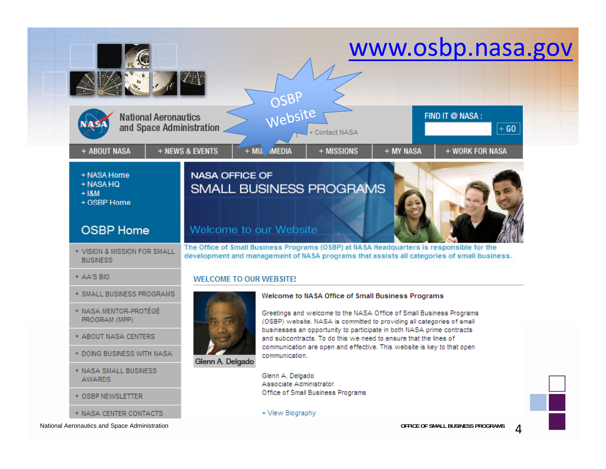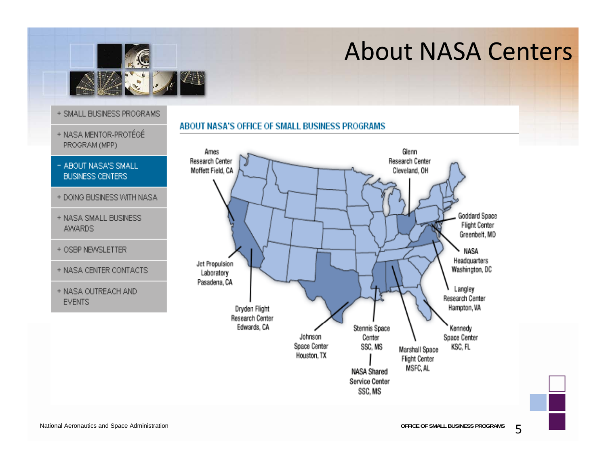

### About NASA Centers

- + SMALL BUSINESS PROGRAMS
- + NASA MENTOR-PROTÉGÉ PROGRAM (MPP)
- ABOUT NASA'S SMALL **BUSINESS CENTERS**
- + DOING BUSINESS WITH NASA
- + NASA SMALL BUSINESS **AWARDS**
- + OSBP NEWSLETTER
- + NASA CENTER CONTACTS
- + NASA OUTREACH AND **EVENTS**

#### ABOUT NASA'S OFFICE OF SMALL BUSINESS PROGRAMS



National Aeronautics and Space Administration **Constrainers OFFICE OF SMALL BUSINESS PROGRAMS**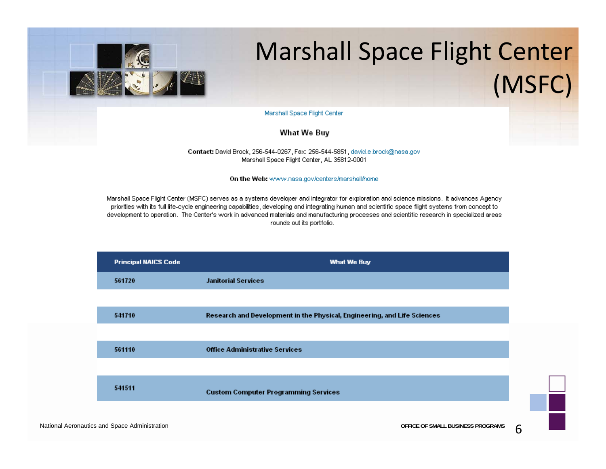

# Marshall Space Flight Center (MSFC)

Marshall Space Flight Center

What We Buy

Contact: David Brock, 256-544-0267, Fax: 256-544-5851, david.e.brock@nasa.gov Marshall Space Flight Center, AL 35812-0001

On the Web: www.nasa.gov/centers/marshall/home

Marshall Space Flight Center (MSFC) serves as a systems developer and integrator for exploration and science missions. It advances Agency priorities with its full life-cycle engineering capabilities, developing and integrating human and scientific space flight systems from concept to development to operation. The Center's work in advanced materials and manufacturing processes and scientific research in specialized areas rounds out its portfolio.



National Aeronautics and Space Administration **Constrainers CONSERVING CONSTRUSTED ACTS CONSTRUSTED A** OFFICE OF SMALL BUSINESS PROGRAMS **6**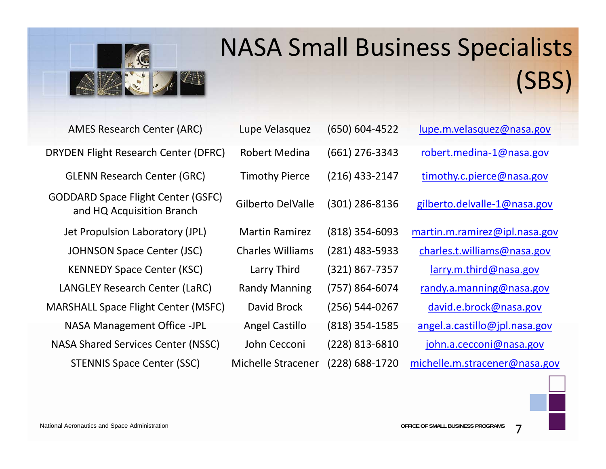

# NASA Small Business Specialists (SBS)

| <b>AMES Research Center (ARC)</b>                                      | Lupe Velasquez          | $(650) 604 - 4522$ | lupe.m.velasquez@nasa.gov     |
|------------------------------------------------------------------------|-------------------------|--------------------|-------------------------------|
| <b>DRYDEN Flight Research Center (DFRC)</b>                            | Robert Medina           | $(661)$ 276-3343   | robert.medina-1@nasa.gov      |
| <b>GLENN Research Center (GRC)</b>                                     | <b>Timothy Pierce</b>   | $(216)$ 433-2147   | timothy.c.pierce@nasa.gov     |
| <b>GODDARD Space Flight Center (GSFC)</b><br>and HQ Acquisition Branch | Gilberto DelValle       | (301) 286-8136     | gilberto.delvalle-1@nasa.gov  |
| Jet Propulsion Laboratory (JPL)                                        | <b>Martin Ramirez</b>   | (818) 354-6093     | martin.m.ramirez@ipl.nasa.gov |
| <b>JOHNSON Space Center (JSC)</b>                                      | <b>Charles Williams</b> | $(281)$ 483-5933   | charles.t.williams@nasa.gov   |
| <b>KENNEDY Space Center (KSC)</b>                                      | Larry Third             | (321) 867-7357     | larry.m.third@nasa.gov        |
| LANGLEY Research Center (LaRC)                                         | <b>Randy Manning</b>    | $(757) 864 - 6074$ | randy.a.manning@nasa.gov      |
| <b>MARSHALL Space Flight Center (MSFC)</b>                             | David Brock             | $(256) 544 - 0267$ | david.e.brock@nasa.gov        |
| <b>NASA Management Office -JPL</b>                                     | <b>Angel Castillo</b>   | $(818)$ 354-1585   | angel.a.castillo@jpl.nasa.gov |
| <b>NASA Shared Services Center (NSSC)</b>                              | John Cecconi            | $(228)$ 813-6810   | john.a.cecconi@nasa.gov       |
| <b>STENNIS Space Center (SSC)</b>                                      | Michelle Stracener      | (228) 688-1720     | michelle.m.stracener@nasa.gov |

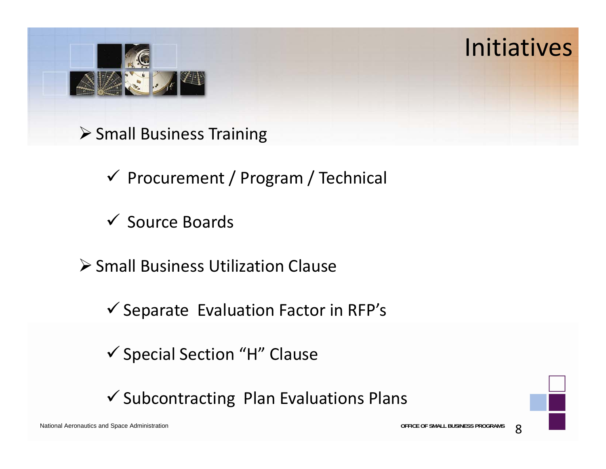

- **≻ Small Business Training** 
	- $\checkmark$  Procurement / Program / Technical
	- **√ Source Boards**
- **≻** Small Business Utilization Clause
	- $\checkmark$  Separate Evaluation Factor in RFP's
	- $\checkmark$  Special Section "H" Clause
	- $\checkmark$  Subcontracting Plan Evaluations Plans

National Aeronautics and Space Administration **OFFICE OF SMALL BUSINESS PROGRAMS**

Initiatives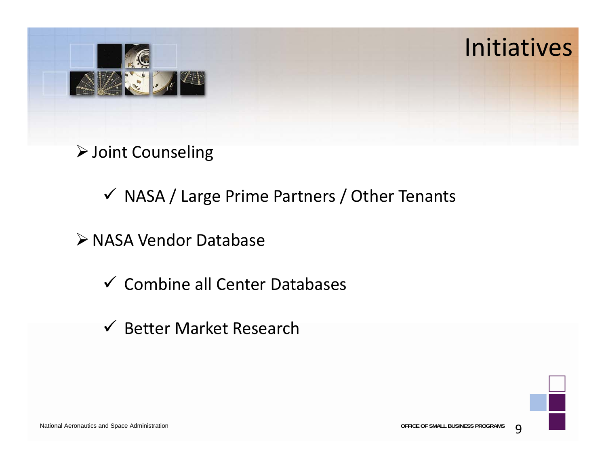

- Joint Counseling
	- $\checkmark$  NASA / Large Prime Partners / Other Tenants
- NASA Vendor Database
	- $\checkmark$  Combine all Center Databases
	- $\checkmark$  Better Market Research



National Aeronautics and Space Administration **Constrainers OFFICE OF SMALL BUSINESS PROGRAMS O**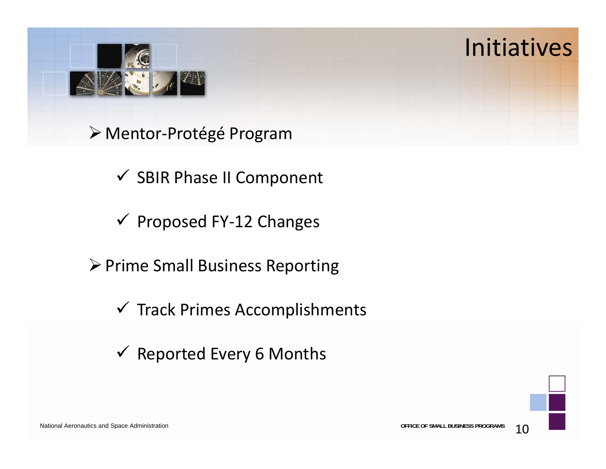

Mentor‐Protégé Program

 $\checkmark$  SBIR Phase II Component

Proposed FY‐12 Changes

▶ Prime Small Business Reporting

 $\checkmark$  Track Primes Accomplishments

 $\checkmark$  Reported Every 6 Months



Initiatives

National Aeronautics and Space Administration **Contract of SMALL BUSINESS PROGRAMS OFFICE OF SMALL BUSINESS PROGRAMS**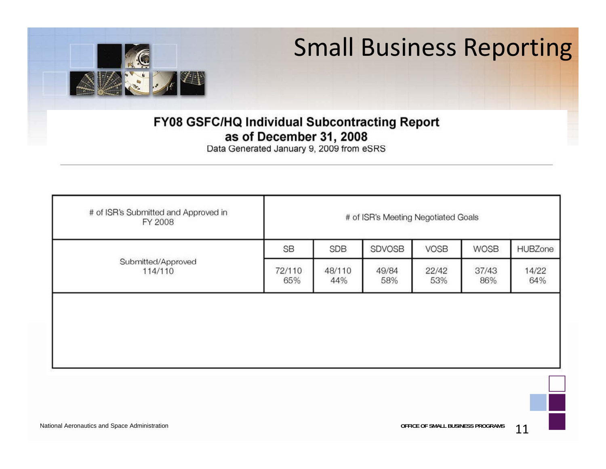

## Small Business Reporting

#### FY08 GSFC/HQ Individual Subcontracting Report as of December 31, 2008

Data Generated January 9, 2009 from eSRS

| # of ISR's Submitted and Approved in<br>FY 2008 | # of ISR's Meeting Negotiated Goals |               |              |              |              |              |  |  |
|-------------------------------------------------|-------------------------------------|---------------|--------------|--------------|--------------|--------------|--|--|
|                                                 | <b>SB</b>                           | <b>SDB</b>    | SDVOSB       | <b>VOSB</b>  | <b>WOSB</b>  | HUBZone      |  |  |
| Submitted/Approved<br>114/110                   | 72/110<br>65%                       | 48/110<br>44% | 49/84<br>58% | 22/42<br>53% | 37/43<br>86% | 14/22<br>64% |  |  |
|                                                 |                                     |               |              |              |              |              |  |  |
|                                                 |                                     |               |              |              |              |              |  |  |
|                                                 |                                     |               |              |              |              |              |  |  |

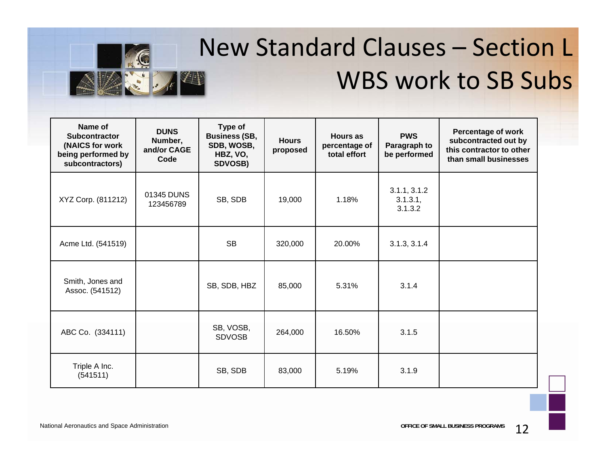

# New Standard Clauses – Section L WBS work to SB Subs

| Name of<br><b>Subcontractor</b><br>(NAICS for work<br>being performed by<br>subcontractors) | <b>DUNS</b><br>Number,<br>and/or CAGE<br>Code | Type of<br><b>Business (SB,</b><br>SDB, WOSB,<br>HBZ, VO,<br>SDVOSB) | <b>Hours</b><br>proposed | <b>Hours as</b><br>percentage of<br>total effort | <b>PWS</b><br>Paragraph to<br>be performed | <b>Percentage of work</b><br>subcontracted out by<br>this contractor to other<br>than small businesses |
|---------------------------------------------------------------------------------------------|-----------------------------------------------|----------------------------------------------------------------------|--------------------------|--------------------------------------------------|--------------------------------------------|--------------------------------------------------------------------------------------------------------|
| XYZ Corp. (811212)                                                                          | 01345 DUNS<br>123456789                       | SB, SDB                                                              | 19,000                   | 1.18%                                            | 3.1.1, 3.1.2<br>$3.1.3.1$ ,<br>3.1.3.2     |                                                                                                        |
| Acme Ltd. (541519)                                                                          |                                               | <b>SB</b>                                                            | 320,000                  | 20.00%                                           | 3.1.3, 3.1.4                               |                                                                                                        |
| Smith, Jones and<br>Assoc. (541512)                                                         |                                               | SB, SDB, HBZ                                                         | 85,000                   | 5.31%                                            | 3.1.4                                      |                                                                                                        |
| ABC Co. (334111)                                                                            |                                               | SB, VOSB,<br><b>SDVOSB</b>                                           | 264,000                  | 16.50%                                           | 3.1.5                                      |                                                                                                        |
| Triple A Inc.<br>(541511)                                                                   |                                               | SB, SDB                                                              | 83,000                   | 5.19%                                            | 3.1.9                                      |                                                                                                        |